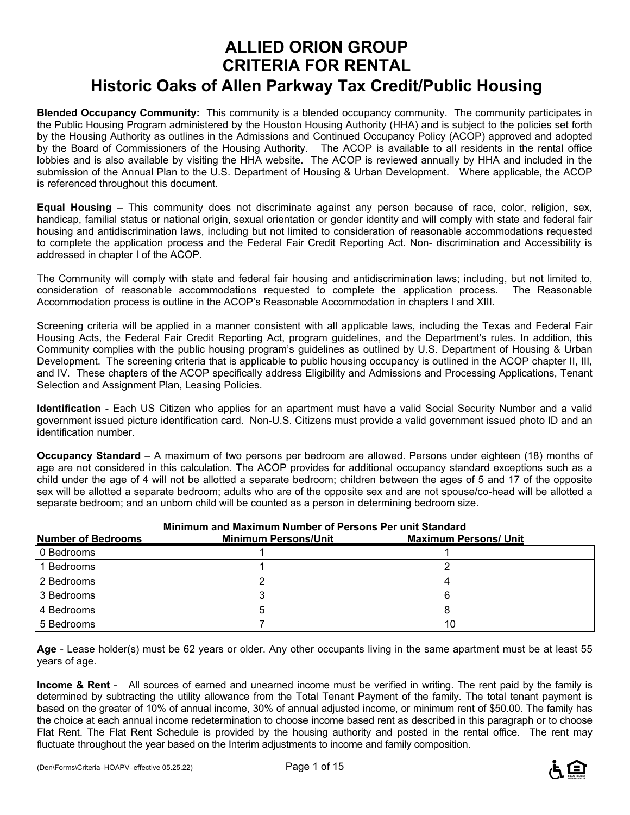# **ALLIED ORION GROUP CRITERIA FOR RENTAL Historic Oaks of Allen Parkway Tax Credit/Public Housing**

**Blended Occupancy Community:** This community is a blended occupancy community. The community participates in the Public Housing Program administered by the Houston Housing Authority (HHA) and is subject to the policies set forth by the Housing Authority as outlines in the Admissions and Continued Occupancy Policy (ACOP) approved and adopted by the Board of Commissioners of the Housing Authority. The ACOP is available to all residents in the rental office lobbies and is also available by visiting the HHA website. The ACOP is reviewed annually by HHA and included in the submission of the Annual Plan to the U.S. Department of Housing & Urban Development. Where applicable, the ACOP is referenced throughout this document.

**Equal Housing** – This community does not discriminate against any person because of race, color, religion, sex, handicap, familial status or national origin, sexual orientation or gender identity and will comply with state and federal fair housing and antidiscrimination laws, including but not limited to consideration of reasonable accommodations requested to complete the application process and the Federal Fair Credit Reporting Act. Non- discrimination and Accessibility is addressed in chapter I of the ACOP.

The Community will comply with state and federal fair housing and antidiscrimination laws; including, but not limited to, consideration of reasonable accommodations requested to complete the application process. The Reasonable Accommodation process is outline in the ACOP's Reasonable Accommodation in chapters I and XIII.

Screening criteria will be applied in a manner consistent with all applicable laws, including the Texas and Federal Fair Housing Acts, the Federal Fair Credit Reporting Act, program guidelines, and the Department's rules. In addition, this Community complies with the public housing program's guidelines as outlined by U.S. Department of Housing & Urban Development. The screening criteria that is applicable to public housing occupancy is outlined in the ACOP chapter II, III, and IV. These chapters of the ACOP specifically address Eligibility and Admissions and Processing Applications, Tenant Selection and Assignment Plan, Leasing Policies.

**Identification** - Each US Citizen who applies for an apartment must have a valid Social Security Number and a valid government issued picture identification card. Non-U.S. Citizens must provide a valid government issued photo ID and an identification number.

**Occupancy Standard** – A maximum of two persons per bedroom are allowed. Persons under eighteen (18) months of age are not considered in this calculation. The ACOP provides for additional occupancy standard exceptions such as a child under the age of 4 will not be allotted a separate bedroom; children between the ages of 5 and 17 of the opposite sex will be allotted a separate bedroom; adults who are of the opposite sex and are not spouse/co-head will be allotted a separate bedroom; and an unborn child will be counted as a person in determining bedroom size.

| Minimum and Maximum Number of Persons Per unit Standard |                             |                              |  |  |
|---------------------------------------------------------|-----------------------------|------------------------------|--|--|
| <b>Number of Bedrooms</b>                               | <b>Minimum Persons/Unit</b> | <b>Maximum Persons/ Unit</b> |  |  |
| 0 Bedrooms                                              |                             |                              |  |  |
| 1 Bedrooms                                              |                             |                              |  |  |
| 2 Bedrooms                                              |                             |                              |  |  |
| 3 Bedrooms                                              |                             |                              |  |  |
| 4 Bedrooms                                              |                             |                              |  |  |
| 5 Bedrooms                                              |                             |                              |  |  |

**Age** - Lease holder(s) must be 62 years or older. Any other occupants living in the same apartment must be at least 55 years of age.

**Income & Rent** - All sources of earned and unearned income must be verified in writing. The rent paid by the family is determined by subtracting the utility allowance from the Total Tenant Payment of the family. The total tenant payment is based on the greater of 10% of annual income, 30% of annual adjusted income, or minimum rent of \$50.00. The family has the choice at each annual income redetermination to choose income based rent as described in this paragraph or to choose Flat Rent. The Flat Rent Schedule is provided by the housing authority and posted in the rental office. The rent may fluctuate throughout the year based on the Interim adjustments to income and family composition.

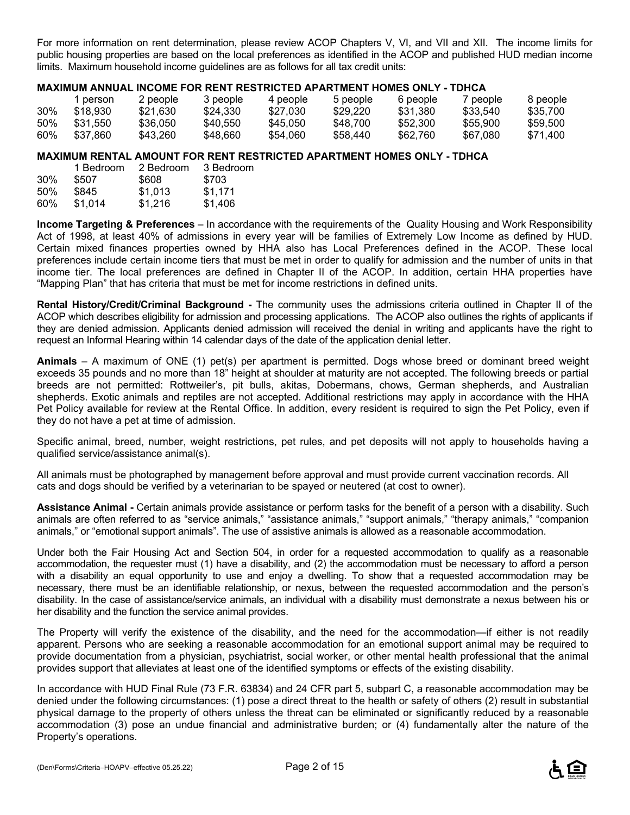For more information on rent determination, please review ACOP Chapters V, VI, and VII and XII. The income limits for public housing properties are based on the local preferences as identified in the ACOP and published HUD median income limits. Maximum household income guidelines are as follows for all tax credit units:

#### **MAXIMUM ANNUAL INCOME FOR RENT RESTRICTED APARTMENT HOMES ONLY - TDHCA**

|     | person   | 2 people | 3 people | 4 people | 5 people | 6 people | / people | 8 people |
|-----|----------|----------|----------|----------|----------|----------|----------|----------|
| 30% | \$18.930 | \$21.630 | \$24.330 | \$27,030 | \$29,220 | \$31.380 | \$33.540 | \$35,700 |
| 50% | \$31.550 | \$36.050 | \$40.550 | \$45.050 | \$48,700 | \$52.300 | \$55,900 | \$59.500 |
| 60% | \$37,860 | \$43.260 | \$48,660 | \$54,060 | \$58.440 | \$62,760 | \$67,080 | \$71.400 |

#### **MAXIMUM RENTAL AMOUNT FOR RENT RESTRICTED APARTMENT HOMES ONLY - TDHCA**

|     | 1 Bedroom | 2 Bedroom | 3 Bedroom |
|-----|-----------|-----------|-----------|
| 30% | \$507     | \$608     | \$703     |
| 50% | \$845     | \$1.013   | \$1,171   |
| 60% | \$1.014   | \$1.216   | \$1,406   |

**Income Targeting & Preferences** – In accordance with the requirements of the Quality Housing and Work Responsibility Act of 1998, at least 40% of admissions in every year will be families of Extremely Low Income as defined by HUD. Certain mixed finances properties owned by HHA also has Local Preferences defined in the ACOP. These local preferences include certain income tiers that must be met in order to qualify for admission and the number of units in that income tier. The local preferences are defined in Chapter II of the ACOP. In addition, certain HHA properties have "Mapping Plan" that has criteria that must be met for income restrictions in defined units.

**Rental History/Credit/Criminal Background -** The community uses the admissions criteria outlined in Chapter II of the ACOP which describes eligibility for admission and processing applications. The ACOP also outlines the rights of applicants if they are denied admission. Applicants denied admission will received the denial in writing and applicants have the right to request an Informal Hearing within 14 calendar days of the date of the application denial letter.

**Animals** – A maximum of ONE (1) pet(s) per apartment is permitted. Dogs whose breed or dominant breed weight exceeds 35 pounds and no more than 18" height at shoulder at maturity are not accepted. The following breeds or partial breeds are not permitted: Rottweiler's, pit bulls, akitas, Dobermans, chows, German shepherds, and Australian shepherds. Exotic animals and reptiles are not accepted. Additional restrictions may apply in accordance with the HHA Pet Policy available for review at the Rental Office. In addition, every resident is required to sign the Pet Policy, even if they do not have a pet at time of admission.

Specific animal, breed, number, weight restrictions, pet rules, and pet deposits will not apply to households having a qualified service/assistance animal(s).

All animals must be photographed by management before approval and must provide current vaccination records. All cats and dogs should be verified by a veterinarian to be spayed or neutered (at cost to owner).

**Assistance Animal -** Certain animals provide assistance or perform tasks for the benefit of a person with a disability. Such animals are often referred to as "service animals," "assistance animals," "support animals," "therapy animals," "companion animals," or "emotional support animals". The use of assistive animals is allowed as a reasonable accommodation.

Under both the Fair Housing Act and Section 504, in order for a requested accommodation to qualify as a reasonable accommodation, the requester must (1) have a disability, and (2) the accommodation must be necessary to afford a person with a disability an equal opportunity to use and enjoy a dwelling. To show that a requested accommodation may be necessary, there must be an identifiable relationship, or nexus, between the requested accommodation and the person's disability. In the case of assistance/service animals, an individual with a disability must demonstrate a nexus between his or her disability and the function the service animal provides.

The Property will verify the existence of the disability, and the need for the accommodation—if either is not readily apparent. Persons who are seeking a reasonable accommodation for an emotional support animal may be required to provide documentation from a physician, psychiatrist, social worker, or other mental health professional that the animal provides support that alleviates at least one of the identified symptoms or effects of the existing disability.

In accordance with HUD Final Rule (73 F.R. 63834) and 24 CFR part 5, subpart C, a reasonable accommodation may be denied under the following circumstances: (1) pose a direct threat to the health or safety of others (2) result in substantial physical damage to the property of others unless the threat can be eliminated or significantly reduced by a reasonable accommodation (3) pose an undue financial and administrative burden; or (4) fundamentally alter the nature of the Property's operations.

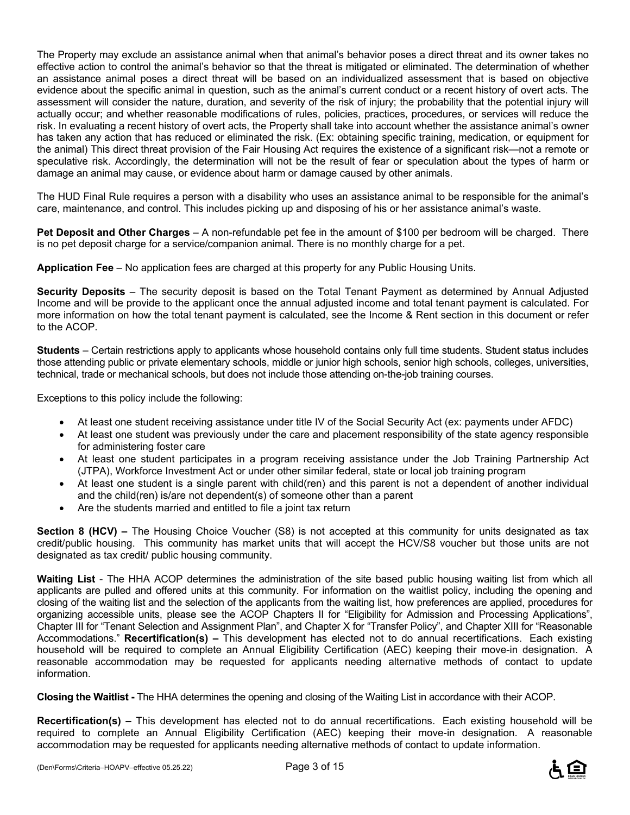The Property may exclude an assistance animal when that animal's behavior poses a direct threat and its owner takes no effective action to control the animal's behavior so that the threat is mitigated or eliminated. The determination of whether an assistance animal poses a direct threat will be based on an individualized assessment that is based on objective evidence about the specific animal in question, such as the animal's current conduct or a recent history of overt acts. The assessment will consider the nature, duration, and severity of the risk of injury; the probability that the potential injury will actually occur; and whether reasonable modifications of rules, policies, practices, procedures, or services will reduce the risk. In evaluating a recent history of overt acts, the Property shall take into account whether the assistance animal's owner has taken any action that has reduced or eliminated the risk. (Ex: obtaining specific training, medication, or equipment for the animal) This direct threat provision of the Fair Housing Act requires the existence of a significant risk—not a remote or speculative risk. Accordingly, the determination will not be the result of fear or speculation about the types of harm or damage an animal may cause, or evidence about harm or damage caused by other animals.

The HUD Final Rule requires a person with a disability who uses an assistance animal to be responsible for the animal's care, maintenance, and control. This includes picking up and disposing of his or her assistance animal's waste.

**Pet Deposit and Other Charges** – A non-refundable pet fee in the amount of \$100 per bedroom will be charged. There is no pet deposit charge for a service/companion animal. There is no monthly charge for a pet.

**Application Fee** – No application fees are charged at this property for any Public Housing Units.

**Security Deposits** – The security deposit is based on the Total Tenant Payment as determined by Annual Adjusted Income and will be provide to the applicant once the annual adjusted income and total tenant payment is calculated. For more information on how the total tenant payment is calculated, see the Income & Rent section in this document or refer to the ACOP.

**Students** – Certain restrictions apply to applicants whose household contains only full time students. Student status includes those attending public or private elementary schools, middle or junior high schools, senior high schools, colleges, universities, technical, trade or mechanical schools, but does not include those attending on-the-job training courses.

Exceptions to this policy include the following:

- At least one student receiving assistance under title IV of the Social Security Act (ex: payments under AFDC)
- At least one student was previously under the care and placement responsibility of the state agency responsible for administering foster care
- At least one student participates in a program receiving assistance under the Job Training Partnership Act (JTPA), Workforce Investment Act or under other similar federal, state or local job training program
- At least one student is a single parent with child(ren) and this parent is not a dependent of another individual and the child(ren) is/are not dependent(s) of someone other than a parent
- Are the students married and entitled to file a joint tax return

**Section 8 (HCV) –** The Housing Choice Voucher (S8) is not accepted at this community for units designated as tax credit/public housing. This community has market units that will accept the HCV/S8 voucher but those units are not designated as tax credit/ public housing community.

**Waiting List** - The HHA ACOP determines the administration of the site based public housing waiting list from which all applicants are pulled and offered units at this community. For information on the waitlist policy, including the opening and closing of the waiting list and the selection of the applicants from the waiting list, how preferences are applied, procedures for organizing accessible units, please see the ACOP Chapters II for "Eligibility for Admission and Processing Applications", Chapter III for "Tenant Selection and Assignment Plan", and Chapter X for "Transfer Policy", and Chapter XIII for "Reasonable Accommodations." **Recertification(s) –** This development has elected not to do annual recertifications. Each existing household will be required to complete an Annual Eligibility Certification (AEC) keeping their move-in designation. A reasonable accommodation may be requested for applicants needing alternative methods of contact to update information.

**Closing the Waitlist -** The HHA determines the opening and closing of the Waiting List in accordance with their ACOP.

**Recertification(s) –** This development has elected not to do annual recertifications. Each existing household will be required to complete an Annual Eligibility Certification (AEC) keeping their move-in designation. A reasonable accommodation may be requested for applicants needing alternative methods of contact to update information.

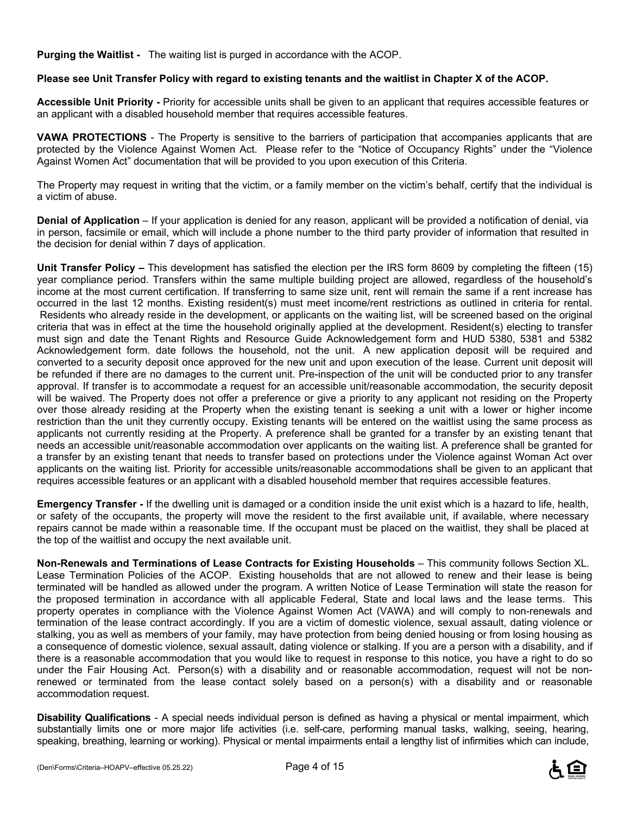**Purging the Waitlist -** The waiting list is purged in accordance with the ACOP.

#### **Please see Unit Transfer Policy with regard to existing tenants and the waitlist in Chapter X of the ACOP.**

**Accessible Unit Priority -** Priority for accessible units shall be given to an applicant that requires accessible features or an applicant with a disabled household member that requires accessible features.

**VAWA PROTECTIONS** - The Property is sensitive to the barriers of participation that accompanies applicants that are protected by the Violence Against Women Act. Please refer to the "Notice of Occupancy Rights" under the "Violence Against Women Act" documentation that will be provided to you upon execution of this Criteria.

The Property may request in writing that the victim, or a family member on the victim's behalf, certify that the individual is a victim of abuse.

**Denial of Application** – If your application is denied for any reason, applicant will be provided a notification of denial, via in person, facsimile or email, which will include a phone number to the third party provider of information that resulted in the decision for denial within 7 days of application.

**Unit Transfer Policy –** This development has satisfied the election per the IRS form 8609 by completing the fifteen (15) year compliance period. Transfers within the same multiple building project are allowed, regardless of the household's income at the most current certification. If transferring to same size unit, rent will remain the same if a rent increase has occurred in the last 12 months. Existing resident(s) must meet income/rent restrictions as outlined in criteria for rental. Residents who already reside in the development, or applicants on the waiting list, will be screened based on the original criteria that was in effect at the time the household originally applied at the development. Resident(s) electing to transfer must sign and date the Tenant Rights and Resource Guide Acknowledgement form and HUD 5380, 5381 and 5382 Acknowledgement form. date follows the household, not the unit. A new application deposit will be required and converted to a security deposit once approved for the new unit and upon execution of the lease. Current unit deposit will be refunded if there are no damages to the current unit. Pre-inspection of the unit will be conducted prior to any transfer approval. If transfer is to accommodate a request for an accessible unit/reasonable accommodation, the security deposit will be waived. The Property does not offer a preference or give a priority to any applicant not residing on the Property over those already residing at the Property when the existing tenant is seeking a unit with a lower or higher income restriction than the unit they currently occupy. Existing tenants will be entered on the waitlist using the same process as applicants not currently residing at the Property. A preference shall be granted for a transfer by an existing tenant that needs an accessible unit/reasonable accommodation over applicants on the waiting list. A preference shall be granted for a transfer by an existing tenant that needs to transfer based on protections under the Violence against Woman Act over applicants on the waiting list. Priority for accessible units/reasonable accommodations shall be given to an applicant that requires accessible features or an applicant with a disabled household member that requires accessible features.

**Emergency Transfer -** If the dwelling unit is damaged or a condition inside the unit exist which is a hazard to life, health, or safety of the occupants, the property will move the resident to the first available unit, if available, where necessary repairs cannot be made within a reasonable time. If the occupant must be placed on the waitlist, they shall be placed at the top of the waitlist and occupy the next available unit.

**Non-Renewals and Terminations of Lease Contracts for Existing Households** – This community follows Section XL. Lease Termination Policies of the ACOP. Existing households that are not allowed to renew and their lease is being terminated will be handled as allowed under the program. A written Notice of Lease Termination will state the reason for the proposed termination in accordance with all applicable Federal, State and local laws and the lease terms. This property operates in compliance with the Violence Against Women Act (VAWA) and will comply to non-renewals and termination of the lease contract accordingly. If you are a victim of domestic violence, sexual assault, dating violence or stalking, you as well as members of your family, may have protection from being denied housing or from losing housing as a consequence of domestic violence, sexual assault, dating violence or stalking. If you are a person with a disability, and if there is a reasonable accommodation that you would like to request in response to this notice, you have a right to do so under the Fair Housing Act. Person(s) with a disability and or reasonable accommodation, request will not be nonrenewed or terminated from the lease contact solely based on a person(s) with a disability and or reasonable accommodation request.

**Disability Qualifications** - A special needs individual person is defined as having a physical or mental impairment, which substantially limits one or more major life activities (i.e. self-care, performing manual tasks, walking, seeing, hearing, speaking, breathing, learning or working). Physical or mental impairments entail a lengthy list of infirmities which can include,

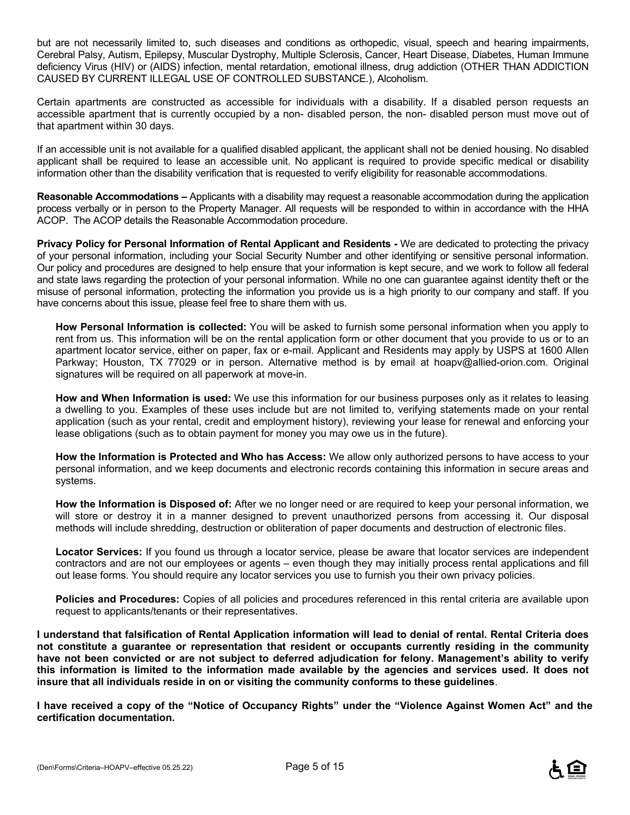but are not necessarily limited to, such diseases and conditions as orthopedic, visual, speech and hearing impairments, Cerebral Palsy, Autism, Epilepsy, Muscular Dystrophy, Multiple Sclerosis, Cancer, Heart Disease, Diabetes, Human Immune deficiency Virus (HIV) or (AIDS) infection, mental retardation, emotional illness, drug addiction (OTHER THAN ADDICTION CAUSED BY CURRENT ILLEGAL USE OF CONTROLLED SUBSTANCE.), Alcoholism.

Certain apartments are constructed as accessible for individuals with a disability. If a disabled person requests an accessible apartment that is currently occupied by a non- disabled person, the non- disabled person must move out of that apartment within 30 days.

If an accessible unit is not available for a qualified disabled applicant, the applicant shall not be denied housing. No disabled applicant shall be required to lease an accessible unit. No applicant is required to provide specific medical or disability information other than the disability verification that is requested to verify eligibility for reasonable accommodations.

**Reasonable Accommodations –** Applicants with a disability may request a reasonable accommodation during the application process verbally or in person to the Property Manager. All requests will be responded to within in accordance with the HHA ACOP. The ACOP details the Reasonable Accommodation procedure.

**Privacy Policy for Personal Information of Rental Applicant and Residents -** We are dedicated to protecting the privacy of your personal information, including your Social Security Number and other identifying or sensitive personal information. Our policy and procedures are designed to help ensure that your information is kept secure, and we work to follow all federal and state laws regarding the protection of your personal information. While no one can guarantee against identity theft or the misuse of personal information, protecting the information you provide us is a high priority to our company and staff. If you have concerns about this issue, please feel free to share them with us.

**How Personal Information is collected:** You will be asked to furnish some personal information when you apply to rent from us. This information will be on the rental application form or other document that you provide to us or to an apartment locator service, either on paper, fax or e-mail. Applicant and Residents may apply by USPS at 1600 Allen Parkway; Houston, TX 77029 or in person. Alternative method is by email at hoapv@allied-orion.com. Original signatures will be required on all paperwork at move-in.

**How and When Information is used:** We use this information for our business purposes only as it relates to leasing a dwelling to you. Examples of these uses include but are not limited to, verifying statements made on your rental application (such as your rental, credit and employment history), reviewing your lease for renewal and enforcing your lease obligations (such as to obtain payment for money you may owe us in the future).

**How the Information is Protected and Who has Access:** We allow only authorized persons to have access to your personal information, and we keep documents and electronic records containing this information in secure areas and systems.

**How the Information is Disposed of:** After we no longer need or are required to keep your personal information, we will store or destroy it in a manner designed to prevent unauthorized persons from accessing it. Our disposal methods will include shredding, destruction or obliteration of paper documents and destruction of electronic files.

**Locator Services:** If you found us through a locator service, please be aware that locator services are independent contractors and are not our employees or agents – even though they may initially process rental applications and fill out lease forms. You should require any locator services you use to furnish you their own privacy policies.

**Policies and Procedures:** Copies of all policies and procedures referenced in this rental criteria are available upon request to applicants/tenants or their representatives.

**I understand that falsification of Rental Application information will lead to denial of rental. Rental Criteria does not constitute a guarantee or representation that resident or occupants currently residing in the community have not been convicted or are not subject to deferred adjudication for felony. Management's ability to verify this information is limited to the information made available by the agencies and services used. It does not insure that all individuals reside in on or visiting the community conforms to these guidelines**.

**I have received a copy of the "Notice of Occupancy Rights" under the "Violence Against Women Act" and the certification documentation.** 

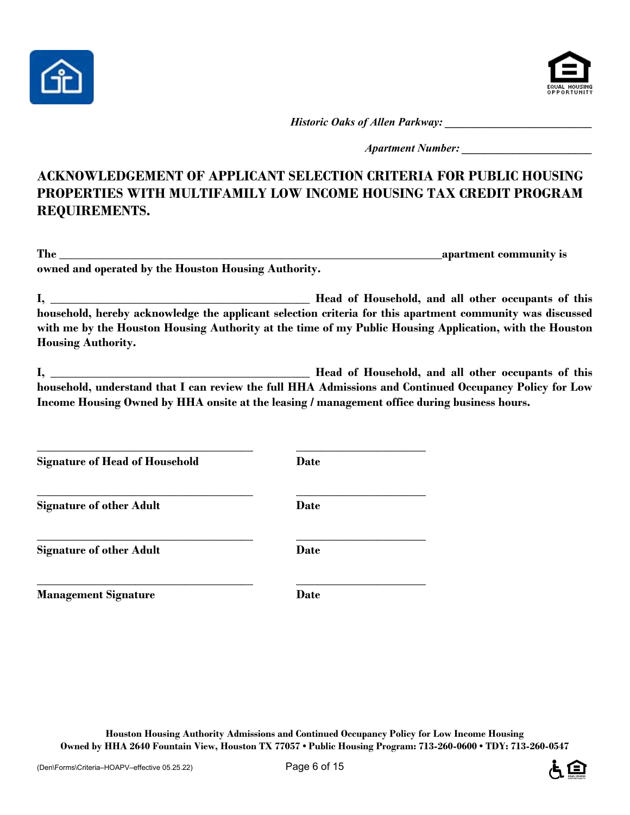



*Historic Oaks of Allen Parkway:*  $\blacksquare$ 

*Apartment Number:*  $\blacksquare$ 

## **ACKNOWLEDGEMENT OF APPLICANT SELECTION CRITERIA FOR PUBLIC HOUSING PROPERTIES WITH MULTIFAMILY LOW INCOME HOUSING TAX CREDIT PROGRAM REQUIREMENTS.**

| T <sub>1</sub><br>. hr | - apartment community is |
|------------------------|--------------------------|
|                        |                          |

**owned and operated by the Houston Housing Authority.** 

**I, \_\_\_\_\_\_\_\_\_\_\_\_\_\_\_\_\_\_\_\_\_\_\_\_\_\_\_\_\_\_\_\_\_\_\_\_\_\_\_\_\_\_ Head of Household, and all other occupants of this household, hereby acknowledge the applicant selection criteria for this apartment community was discussed with me by the Houston Housing Authority at the time of my Public Housing Application, with the Houston Housing Authority.** 

**I, \_\_\_\_\_\_\_\_\_\_\_\_\_\_\_\_\_\_\_\_\_\_\_\_\_\_\_\_\_\_\_\_\_\_\_\_\_\_\_\_\_\_ Head of Household, and all other occupants of this household, understand that I can review the full HHA Admissions and Continued Occupancy Policy for Low Income Housing Owned by HHA onsite at the leasing / management office during business hours.** 

**Signature of Head of Household Date** 

**\_\_\_\_\_\_\_\_\_\_\_\_\_\_\_\_\_\_\_\_\_\_\_\_\_\_\_\_\_\_\_\_\_\_\_ \_\_\_\_\_\_\_\_\_\_\_\_\_\_\_\_\_\_\_\_\_ Signature of other Adult Date** 

**Signature of other Adult Date** 

**\_\_\_\_\_\_\_\_\_\_\_\_\_\_\_\_\_\_\_\_\_\_\_\_\_\_\_\_\_\_\_\_\_\_\_ \_\_\_\_\_\_\_\_\_\_\_\_\_\_\_\_\_\_\_\_\_ Management Signature Date** 

**\_\_\_\_\_\_\_\_\_\_\_\_\_\_\_\_\_\_\_\_\_\_\_\_\_\_\_\_\_\_\_\_\_\_\_ \_\_\_\_\_\_\_\_\_\_\_\_\_\_\_\_\_\_\_\_\_** 

**\_\_\_\_\_\_\_\_\_\_\_\_\_\_\_\_\_\_\_\_\_\_\_\_\_\_\_\_\_\_\_\_\_\_\_ \_\_\_\_\_\_\_\_\_\_\_\_\_\_\_\_\_\_\_\_\_** 

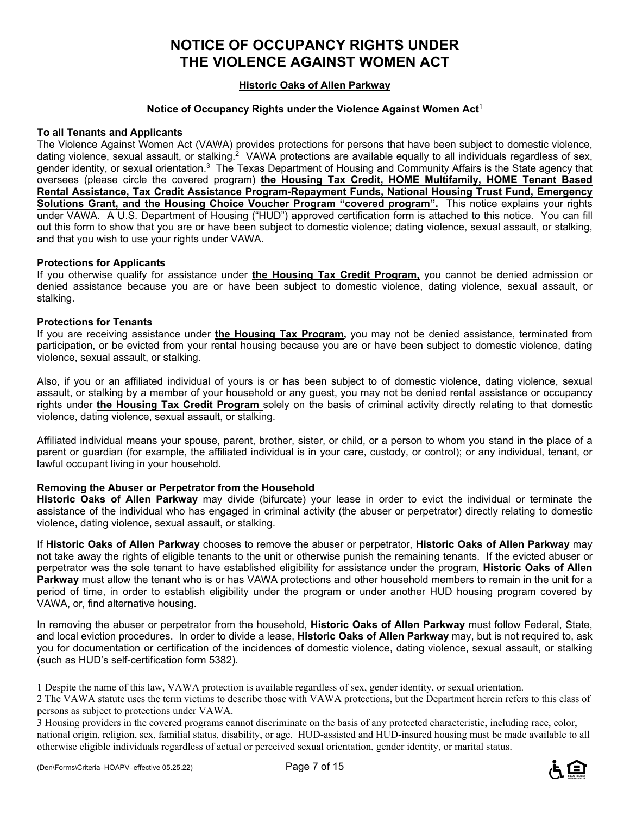# **NOTICE OF OCCUPANCY RIGHTS UNDER THE VIOLENCE AGAINST WOMEN ACT**

### **Historic Oaks of Allen Parkway**

#### **Notice of Occupancy Rights under the Violence Against Women Act**<sup>1</sup>

#### **To all Tenants and Applicants**

The Violence Against Women Act (VAWA) provides protections for persons that have been subject to domestic violence, dating violence, sexual assault, or stalking.<sup>2</sup> VAWA protections are available equally to all individuals regardless of sex, gender identity, or sexual orientation.<sup>3</sup> The Texas Department of Housing and Community Affairs is the State agency that oversees (please circle the covered program) **the Housing Tax Credit, HOME Multifamily, HOME Tenant Based Rental Assistance, Tax Credit Assistance Program-Repayment Funds, National Housing Trust Fund, Emergency Solutions Grant, and the Housing Choice Voucher Program "covered program".** This notice explains your rights under VAWA. A U.S. Department of Housing ("HUD") approved certification form is attached to this notice. You can fill out this form to show that you are or have been subject to domestic violence; dating violence, sexual assault, or stalking, and that you wish to use your rights under VAWA.

#### **Protections for Applicants**

If you otherwise qualify for assistance under **the Housing Tax Credit Program,** you cannot be denied admission or denied assistance because you are or have been subject to domestic violence, dating violence, sexual assault, or stalking.

#### **Protections for Tenants**

If you are receiving assistance under **the Housing Tax Program,** you may not be denied assistance, terminated from participation, or be evicted from your rental housing because you are or have been subject to domestic violence, dating violence, sexual assault, or stalking.

Also, if you or an affiliated individual of yours is or has been subject to of domestic violence, dating violence, sexual assault, or stalking by a member of your household or any guest, you may not be denied rental assistance or occupancy rights under **the Housing Tax Credit Program** solely on the basis of criminal activity directly relating to that domestic violence, dating violence, sexual assault, or stalking.

Affiliated individual means your spouse, parent, brother, sister, or child, or a person to whom you stand in the place of a parent or guardian (for example, the affiliated individual is in your care, custody, or control); or any individual, tenant, or lawful occupant living in your household.

#### **Removing the Abuser or Perpetrator from the Household**

**Historic Oaks of Allen Parkway** may divide (bifurcate) your lease in order to evict the individual or terminate the assistance of the individual who has engaged in criminal activity (the abuser or perpetrator) directly relating to domestic violence, dating violence, sexual assault, or stalking.

If **Historic Oaks of Allen Parkway** chooses to remove the abuser or perpetrator, **Historic Oaks of Allen Parkway** may not take away the rights of eligible tenants to the unit or otherwise punish the remaining tenants. If the evicted abuser or perpetrator was the sole tenant to have established eligibility for assistance under the program, **Historic Oaks of Allen Parkway** must allow the tenant who is or has VAWA protections and other household members to remain in the unit for a period of time, in order to establish eligibility under the program or under another HUD housing program covered by VAWA, or, find alternative housing.

In removing the abuser or perpetrator from the household, **Historic Oaks of Allen Parkway** must follow Federal, State, and local eviction procedures. In order to divide a lease, **Historic Oaks of Allen Parkway** may, but is not required to, ask you for documentation or certification of the incidences of domestic violence, dating violence, sexual assault, or stalking (such as HUD's self-certification form 5382).

l



<sup>1</sup> Despite the name of this law, VAWA protection is available regardless of sex, gender identity, or sexual orientation.

<sup>2</sup> The VAWA statute uses the term victims to describe those with VAWA protections, but the Department herein refers to this class of persons as subject to protections under VAWA.

<sup>3</sup> Housing providers in the covered programs cannot discriminate on the basis of any protected characteristic, including race, color, national origin, religion, sex, familial status, disability, or age. HUD-assisted and HUD-insured housing must be made available to all otherwise eligible individuals regardless of actual or perceived sexual orientation, gender identity, or marital status.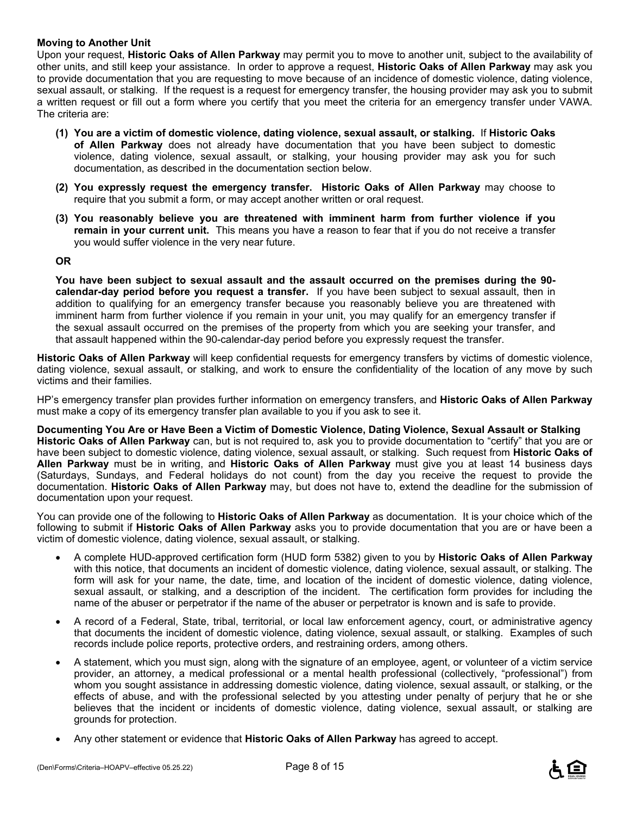#### **Moving to Another Unit**

Upon your request, **Historic Oaks of Allen Parkway** may permit you to move to another unit, subject to the availability of other units, and still keep your assistance. In order to approve a request, **Historic Oaks of Allen Parkway** may ask you to provide documentation that you are requesting to move because of an incidence of domestic violence, dating violence, sexual assault, or stalking. If the request is a request for emergency transfer, the housing provider may ask you to submit a written request or fill out a form where you certify that you meet the criteria for an emergency transfer under VAWA. The criteria are:

- **(1) You are a victim of domestic violence, dating violence, sexual assault, or stalking.** If **Historic Oaks of Allen Parkway** does not already have documentation that you have been subject to domestic violence, dating violence, sexual assault, or stalking, your housing provider may ask you for such documentation, as described in the documentation section below.
- **(2) You expressly request the emergency transfer. Historic Oaks of Allen Parkway** may choose to require that you submit a form, or may accept another written or oral request.
- **(3) You reasonably believe you are threatened with imminent harm from further violence if you remain in your current unit.** This means you have a reason to fear that if you do not receive a transfer you would suffer violence in the very near future.

#### **OR**

**You have been subject to sexual assault and the assault occurred on the premises during the 90 calendar-day period before you request a transfer.** If you have been subject to sexual assault, then in addition to qualifying for an emergency transfer because you reasonably believe you are threatened with imminent harm from further violence if you remain in your unit, you may qualify for an emergency transfer if the sexual assault occurred on the premises of the property from which you are seeking your transfer, and that assault happened within the 90-calendar-day period before you expressly request the transfer.

**Historic Oaks of Allen Parkway** will keep confidential requests for emergency transfers by victims of domestic violence, dating violence, sexual assault, or stalking, and work to ensure the confidentiality of the location of any move by such victims and their families.

HP's emergency transfer plan provides further information on emergency transfers, and **Historic Oaks of Allen Parkway** must make a copy of its emergency transfer plan available to you if you ask to see it.

**Documenting You Are or Have Been a Victim of Domestic Violence, Dating Violence, Sexual Assault or Stalking Historic Oaks of Allen Parkway** can, but is not required to, ask you to provide documentation to "certify" that you are or have been subject to domestic violence, dating violence, sexual assault, or stalking. Such request from **Historic Oaks of Allen Parkway** must be in writing, and **Historic Oaks of Allen Parkway** must give you at least 14 business days (Saturdays, Sundays, and Federal holidays do not count) from the day you receive the request to provide the documentation. **Historic Oaks of Allen Parkway** may, but does not have to, extend the deadline for the submission of documentation upon your request.

You can provide one of the following to **Historic Oaks of Allen Parkway** as documentation. It is your choice which of the following to submit if **Historic Oaks of Allen Parkway** asks you to provide documentation that you are or have been a victim of domestic violence, dating violence, sexual assault, or stalking.

- A complete HUD-approved certification form (HUD form 5382) given to you by **Historic Oaks of Allen Parkway** with this notice, that documents an incident of domestic violence, dating violence, sexual assault, or stalking. The form will ask for your name, the date, time, and location of the incident of domestic violence, dating violence, sexual assault, or stalking, and a description of the incident. The certification form provides for including the name of the abuser or perpetrator if the name of the abuser or perpetrator is known and is safe to provide.
- A record of a Federal, State, tribal, territorial, or local law enforcement agency, court, or administrative agency that documents the incident of domestic violence, dating violence, sexual assault, or stalking. Examples of such records include police reports, protective orders, and restraining orders, among others.
- A statement, which you must sign, along with the signature of an employee, agent, or volunteer of a victim service provider, an attorney, a medical professional or a mental health professional (collectively, "professional") from whom you sought assistance in addressing domestic violence, dating violence, sexual assault, or stalking, or the effects of abuse, and with the professional selected by you attesting under penalty of perjury that he or she believes that the incident or incidents of domestic violence, dating violence, sexual assault, or stalking are grounds for protection.
- Any other statement or evidence that **Historic Oaks of Allen Parkway** has agreed to accept.

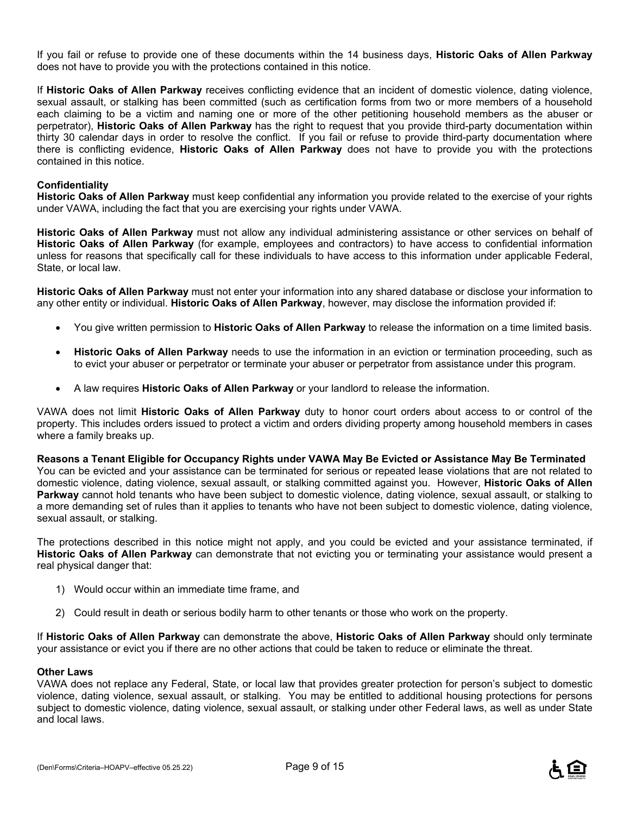If you fail or refuse to provide one of these documents within the 14 business days, **Historic Oaks of Allen Parkway** does not have to provide you with the protections contained in this notice.

If **Historic Oaks of Allen Parkway** receives conflicting evidence that an incident of domestic violence, dating violence, sexual assault, or stalking has been committed (such as certification forms from two or more members of a household each claiming to be a victim and naming one or more of the other petitioning household members as the abuser or perpetrator), **Historic Oaks of Allen Parkway** has the right to request that you provide third-party documentation within thirty 30 calendar days in order to resolve the conflict. If you fail or refuse to provide third-party documentation where there is conflicting evidence, **Historic Oaks of Allen Parkway** does not have to provide you with the protections contained in this notice.

#### **Confidentiality**

**Historic Oaks of Allen Parkway** must keep confidential any information you provide related to the exercise of your rights under VAWA, including the fact that you are exercising your rights under VAWA.

**Historic Oaks of Allen Parkway** must not allow any individual administering assistance or other services on behalf of **Historic Oaks of Allen Parkway** (for example, employees and contractors) to have access to confidential information unless for reasons that specifically call for these individuals to have access to this information under applicable Federal, State, or local law.

**Historic Oaks of Allen Parkway** must not enter your information into any shared database or disclose your information to any other entity or individual. **Historic Oaks of Allen Parkway**, however, may disclose the information provided if:

- You give written permission to **Historic Oaks of Allen Parkway** to release the information on a time limited basis.
- **Historic Oaks of Allen Parkway** needs to use the information in an eviction or termination proceeding, such as to evict your abuser or perpetrator or terminate your abuser or perpetrator from assistance under this program.
- A law requires **Historic Oaks of Allen Parkway** or your landlord to release the information.

VAWA does not limit **Historic Oaks of Allen Parkway** duty to honor court orders about access to or control of the property. This includes orders issued to protect a victim and orders dividing property among household members in cases where a family breaks up.

**Reasons a Tenant Eligible for Occupancy Rights under VAWA May Be Evicted or Assistance May Be Terminated**  You can be evicted and your assistance can be terminated for serious or repeated lease violations that are not related to domestic violence, dating violence, sexual assault, or stalking committed against you. However, **Historic Oaks of Allen Parkway** cannot hold tenants who have been subject to domestic violence, dating violence, sexual assault, or stalking to a more demanding set of rules than it applies to tenants who have not been subject to domestic violence, dating violence, sexual assault, or stalking.

The protections described in this notice might not apply, and you could be evicted and your assistance terminated, if **Historic Oaks of Allen Parkway** can demonstrate that not evicting you or terminating your assistance would present a real physical danger that:

- 1) Would occur within an immediate time frame, and
- 2) Could result in death or serious bodily harm to other tenants or those who work on the property.

If **Historic Oaks of Allen Parkway** can demonstrate the above, **Historic Oaks of Allen Parkway** should only terminate your assistance or evict you if there are no other actions that could be taken to reduce or eliminate the threat.

#### **Other Laws**

VAWA does not replace any Federal, State, or local law that provides greater protection for person's subject to domestic violence, dating violence, sexual assault, or stalking. You may be entitled to additional housing protections for persons subject to domestic violence, dating violence, sexual assault, or stalking under other Federal laws, as well as under State and local laws.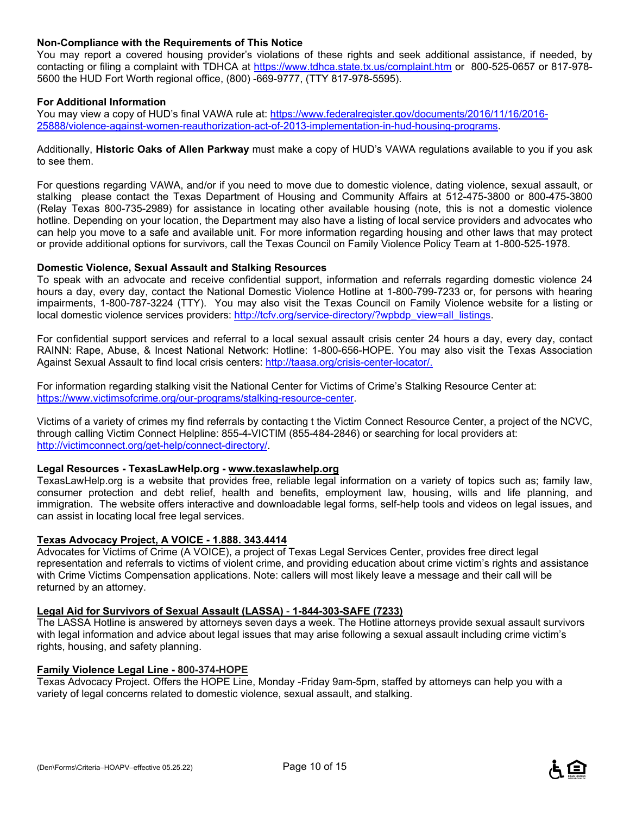#### **Non-Compliance with the Requirements of This Notice**

You may report a covered housing provider's violations of these rights and seek additional assistance, if needed, by contacting or filing a complaint with TDHCA at https://www.tdhca.state.tx.us/complaint.htm or 800-525-0657 or 817-978-5600 the HUD Fort Worth regional office, (800) -669-9777, (TTY 817-978-5595).

#### **For Additional Information**

You may view a copy of HUD's final VAWA rule at: https://www.federalregister.gov/documents/2016/11/16/2016-25888/violence-against-women-reauthorization-act-of-2013-implementation-in-hud-housing-programs.

Additionally, **Historic Oaks of Allen Parkway** must make a copy of HUD's VAWA regulations available to you if you ask to see them.

For questions regarding VAWA, and/or if you need to move due to domestic violence, dating violence, sexual assault, or stalking please contact the Texas Department of Housing and Community Affairs at 512-475-3800 or 800-475-3800 (Relay Texas 800-735-2989) for assistance in locating other available housing (note, this is not a domestic violence hotline. Depending on your location, the Department may also have a listing of local service providers and advocates who can help you move to a safe and available unit. For more information regarding housing and other laws that may protect or provide additional options for survivors, call the Texas Council on Family Violence Policy Team at 1-800-525-1978.

#### **Domestic Violence, Sexual Assault and Stalking Resources**

To speak with an advocate and receive confidential support, information and referrals regarding domestic violence 24 hours a day, every day, contact the National Domestic Violence Hotline at 1-800-799-7233 or, for persons with hearing impairments, 1-800-787-3224 (TTY). You may also visit the Texas Council on Family Violence website for a listing or local domestic violence services providers: http://tcfv.org/service-directory/?wpbdp\_view=all\_listings.

For confidential support services and referral to a local sexual assault crisis center 24 hours a day, every day, contact RAINN: Rape, Abuse, & Incest National Network: Hotline: 1-800-656-HOPE. You may also visit the Texas Association Against Sexual Assault to find local crisis centers: http://taasa.org/crisis-center-locator/.

For information regarding stalking visit the National Center for Victims of Crime's Stalking Resource Center at: https://www.victimsofcrime.org/our-programs/stalking-resource-center.

Victims of a variety of crimes my find referrals by contacting t the Victim Connect Resource Center, a project of the NCVC, through calling Victim Connect Helpline: 855-4-VICTIM (855-484-2846) or searching for local providers at: http://victimconnect.org/get-help/connect-directory/.

#### **Legal Resources - TexasLawHelp.org - www.texaslawhelp.org**

TexasLawHelp.org is a website that provides free, reliable legal information on a variety of topics such as; family law, consumer protection and debt relief, health and benefits, employment law, housing, wills and life planning, and immigration. The website offers interactive and downloadable legal forms, self-help tools and videos on legal issues, and can assist in locating local free legal services.

#### **Texas Advocacy Project, A VOICE - 1.888. 343.4414**

Advocates for Victims of Crime (A VOICE), a project of Texas Legal Services Center, provides free direct legal representation and referrals to victims of violent crime, and providing education about crime victim's rights and assistance with Crime Victims Compensation applications. Note: callers will most likely leave a message and their call will be returned by an attorney.

#### **Legal Aid for Survivors of Sexual Assault (LASSA)** - **1-844-303-SAFE (7233)**

The LASSA Hotline is answered by attorneys seven days a week. The Hotline attorneys provide sexual assault survivors with legal information and advice about legal issues that may arise following a sexual assault including crime victim's rights, housing, and safety planning.

#### **Family Violence Legal Line - 800-374-HOPE**

Texas Advocacy Project. Offers the HOPE Line, Monday -Friday 9am-5pm, staffed by attorneys can help you with a variety of legal concerns related to domestic violence, sexual assault, and stalking.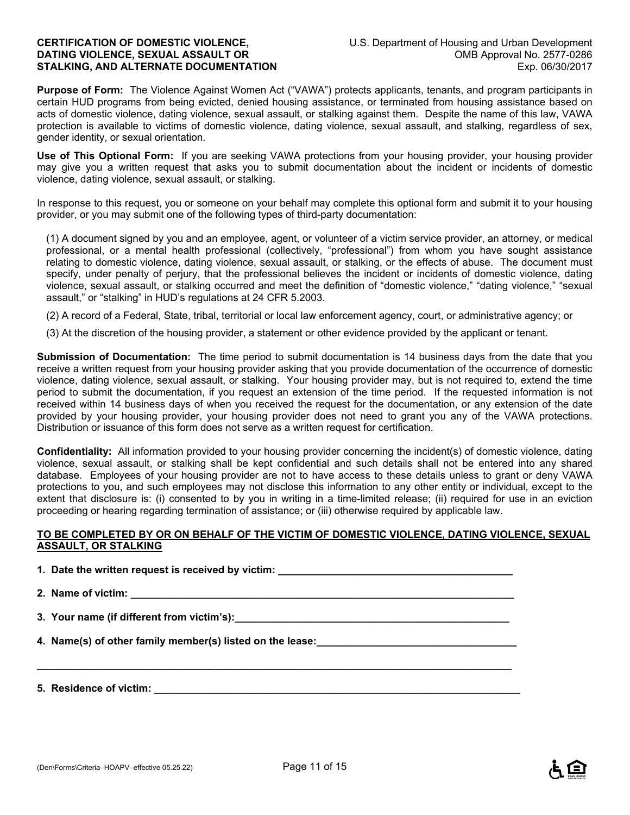**Purpose of Form:** The Violence Against Women Act ("VAWA") protects applicants, tenants, and program participants in certain HUD programs from being evicted, denied housing assistance, or terminated from housing assistance based on acts of domestic violence, dating violence, sexual assault, or stalking against them. Despite the name of this law, VAWA protection is available to victims of domestic violence, dating violence, sexual assault, and stalking, regardless of sex, gender identity, or sexual orientation.

**Use of This Optional Form:** If you are seeking VAWA protections from your housing provider, your housing provider may give you a written request that asks you to submit documentation about the incident or incidents of domestic violence, dating violence, sexual assault, or stalking.

In response to this request, you or someone on your behalf may complete this optional form and submit it to your housing provider, or you may submit one of the following types of third-party documentation:

(1) A document signed by you and an employee, agent, or volunteer of a victim service provider, an attorney, or medical professional, or a mental health professional (collectively, "professional") from whom you have sought assistance relating to domestic violence, dating violence, sexual assault, or stalking, or the effects of abuse. The document must specify, under penalty of perjury, that the professional believes the incident or incidents of domestic violence, dating violence, sexual assault, or stalking occurred and meet the definition of "domestic violence," "dating violence," "sexual assault," or "stalking" in HUD's regulations at 24 CFR 5.2003.

(2) A record of a Federal, State, tribal, territorial or local law enforcement agency, court, or administrative agency; or

(3) At the discretion of the housing provider, a statement or other evidence provided by the applicant or tenant.

**Submission of Documentation:** The time period to submit documentation is 14 business days from the date that you receive a written request from your housing provider asking that you provide documentation of the occurrence of domestic violence, dating violence, sexual assault, or stalking. Your housing provider may, but is not required to, extend the time period to submit the documentation, if you request an extension of the time period. If the requested information is not received within 14 business days of when you received the request for the documentation, or any extension of the date provided by your housing provider, your housing provider does not need to grant you any of the VAWA protections. Distribution or issuance of this form does not serve as a written request for certification.

**Confidentiality:** All information provided to your housing provider concerning the incident(s) of domestic violence, dating violence, sexual assault, or stalking shall be kept confidential and such details shall not be entered into any shared database. Employees of your housing provider are not to have access to these details unless to grant or deny VAWA protections to you, and such employees may not disclose this information to any other entity or individual, except to the extent that disclosure is: (i) consented to by you in writing in a time-limited release; (ii) required for use in an eviction proceeding or hearing regarding termination of assistance; or (iii) otherwise required by applicable law.

#### **TO BE COMPLETED BY OR ON BEHALF OF THE VICTIM OF DOMESTIC VIOLENCE, DATING VIOLENCE, SEXUAL ASSAULT, OR STALKING**

**1. Date the written request is received by victim: \_\_\_\_\_\_\_\_\_\_\_\_\_\_\_\_\_\_\_\_\_\_\_\_\_\_\_\_\_\_\_\_\_\_\_\_\_\_\_\_\_** 

**2. Name of victim: \_\_\_\_\_\_\_\_\_\_\_\_\_\_\_\_\_\_\_\_\_\_\_\_\_\_\_\_\_\_\_\_\_\_\_\_\_\_\_\_\_\_\_\_\_\_\_\_\_\_\_\_\_\_\_\_\_\_\_\_\_\_\_\_\_\_\_** 

**\_\_\_\_\_\_\_\_\_\_\_\_\_\_\_\_\_\_\_\_\_\_\_\_\_\_\_\_\_\_\_\_\_\_\_\_\_\_\_\_\_\_\_\_\_\_\_\_\_\_\_\_\_\_\_\_\_\_\_\_\_\_\_\_\_\_\_\_\_\_\_\_\_\_\_\_\_\_\_\_\_\_\_** 

**3. Your name (if different from victim's):\_\_\_\_\_\_\_\_\_\_\_\_\_\_\_\_\_\_\_\_\_\_\_\_\_\_\_\_\_\_\_\_\_\_\_\_\_\_\_\_\_\_\_\_\_\_\_\_** 

**4. Name(s) of other family member(s) listed on the lease:\_\_\_\_\_\_\_\_\_\_\_\_\_\_\_\_\_\_\_\_\_\_\_\_\_\_\_\_\_\_\_\_\_\_\_** 

**5. Residence of victim: \_\_\_\_\_\_\_\_\_\_\_\_\_\_\_\_\_\_\_\_\_\_\_\_\_\_\_\_\_\_\_\_\_\_\_\_\_\_\_\_\_\_\_\_\_\_\_\_\_\_\_\_\_\_\_\_\_\_\_\_\_\_\_\_**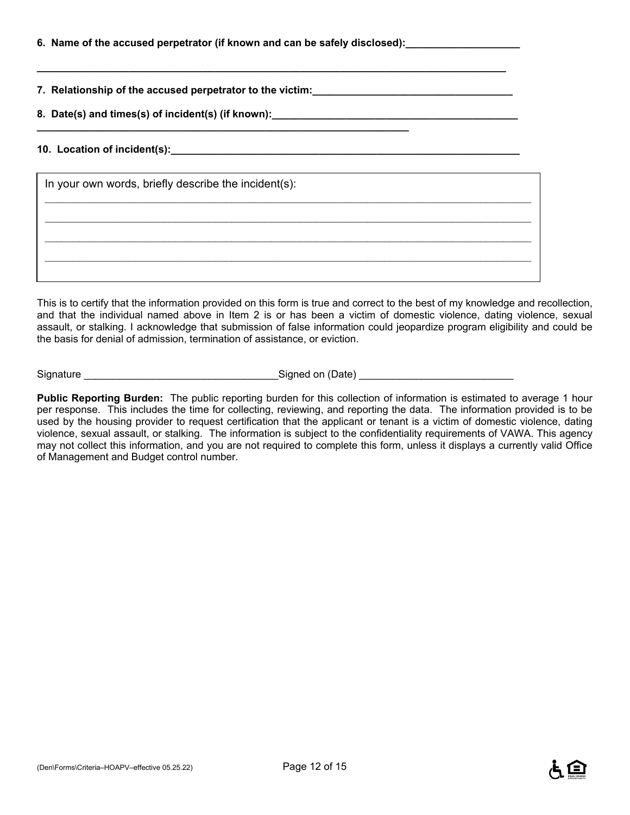|  | 6. Name of the accused perpetrator (if known and can be safely disclosed):_ |  |
|--|-----------------------------------------------------------------------------|--|
|  |                                                                             |  |

**\_\_\_\_\_\_\_\_\_\_\_\_\_\_\_\_\_\_\_\_\_\_\_\_\_\_\_\_\_\_\_\_\_\_\_\_\_\_\_\_\_\_\_\_\_\_\_\_\_\_\_\_\_\_\_\_\_\_\_\_\_\_\_\_\_** 

**7. Relationship of the accused perpetrator to the victim:\_\_\_\_\_\_\_\_\_\_\_\_\_\_\_\_\_\_\_\_\_\_\_\_\_\_\_\_\_\_\_\_\_\_\_** 

**8. Date(s) and times(s) of incident(s) (if known):\_\_\_\_\_\_\_\_\_\_\_\_\_\_\_\_\_\_\_\_\_\_\_\_\_\_\_\_\_\_\_\_\_\_\_\_\_\_\_\_\_\_\_** 

#### **10. Location of incident(s):\_\_\_\_\_\_\_\_\_\_\_\_\_\_\_\_\_\_\_\_\_\_\_\_\_\_\_\_\_\_\_\_\_\_\_\_\_\_\_\_\_\_\_\_\_\_\_\_\_\_\_\_\_\_\_\_\_\_\_\_\_**

| In your own words, briefly describe the incident(s): |  |
|------------------------------------------------------|--|
|                                                      |  |
|                                                      |  |
|                                                      |  |

**\_\_\_\_\_\_\_\_\_\_\_\_\_\_\_\_\_\_\_\_\_\_\_\_\_\_\_\_\_\_\_\_\_\_\_\_\_\_\_\_\_\_\_\_\_\_\_\_\_\_\_\_\_\_\_\_\_\_\_\_\_\_\_\_\_\_\_\_\_\_\_\_\_\_\_\_\_\_\_\_\_\_** 

This is to certify that the information provided on this form is true and correct to the best of my knowledge and recollection, and that the individual named above in Item 2 is or has been a victim of domestic violence, dating violence, sexual assault, or stalking. I acknowledge that submission of false information could jeopardize program eligibility and could be the basis for denial of admission, termination of assistance, or eviction.

Signature \_\_\_\_\_\_\_\_\_\_\_\_\_\_\_\_\_\_\_\_\_\_\_\_\_\_\_\_\_\_\_\_\_\_Signed on (Date) \_\_\_\_\_\_\_\_\_\_\_\_\_\_\_\_\_\_\_\_\_\_\_\_\_\_\_

**Public Reporting Burden:** The public reporting burden for this collection of information is estimated to average 1 hour per response. This includes the time for collecting, reviewing, and reporting the data. The information provided is to be used by the housing provider to request certification that the applicant or tenant is a victim of domestic violence, dating violence, sexual assault, or stalking. The information is subject to the confidentiality requirements of VAWA. This agency may not collect this information, and you are not required to complete this form, unless it displays a currently valid Office of Management and Budget control number.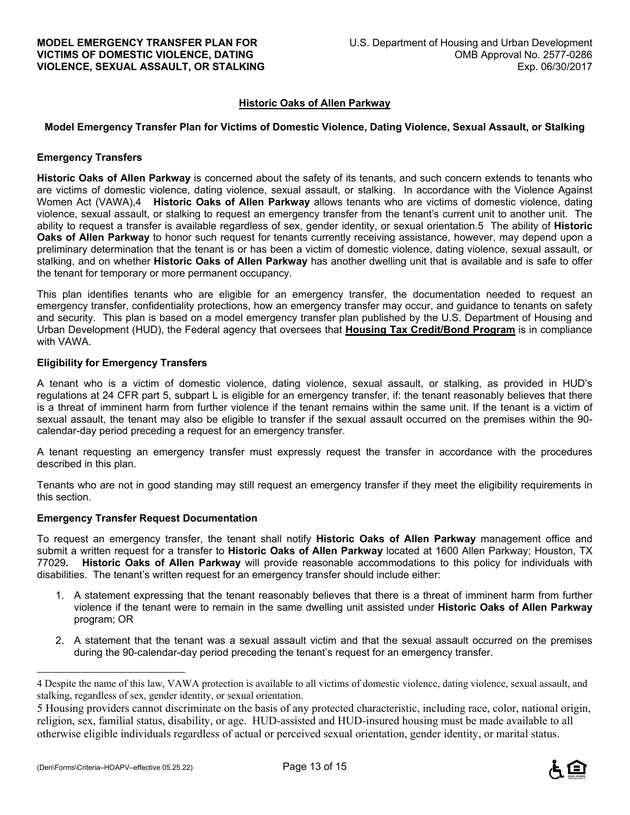#### **Historic Oaks of Allen Parkway**

#### **Model Emergency Transfer Plan for Victims of Domestic Violence, Dating Violence, Sexual Assault, or Stalking**

#### **Emergency Transfers**

**Historic Oaks of Allen Parkway** is concerned about the safety of its tenants, and such concern extends to tenants who are victims of domestic violence, dating violence, sexual assault, or stalking. In accordance with the Violence Against Women Act (VAWA),4 **Historic Oaks of Allen Parkway** allows tenants who are victims of domestic violence, dating violence, sexual assault, or stalking to request an emergency transfer from the tenant's current unit to another unit. The ability to request a transfer is available regardless of sex, gender identity, or sexual orientation.5 The ability of **Historic Oaks of Allen Parkway** to honor such request for tenants currently receiving assistance, however, may depend upon a preliminary determination that the tenant is or has been a victim of domestic violence, dating violence, sexual assault, or stalking, and on whether **Historic Oaks of Allen Parkway** has another dwelling unit that is available and is safe to offer the tenant for temporary or more permanent occupancy.

This plan identifies tenants who are eligible for an emergency transfer, the documentation needed to request an emergency transfer, confidentiality protections, how an emergency transfer may occur, and guidance to tenants on safety and security. This plan is based on a model emergency transfer plan published by the U.S. Department of Housing and Urban Development (HUD), the Federal agency that oversees that **Housing Tax Credit/Bond Program** is in compliance with VAWA.

#### **Eligibility for Emergency Transfers**

A tenant who is a victim of domestic violence, dating violence, sexual assault, or stalking, as provided in HUD's regulations at 24 CFR part 5, subpart L is eligible for an emergency transfer, if: the tenant reasonably believes that there is a threat of imminent harm from further violence if the tenant remains within the same unit. If the tenant is a victim of sexual assault, the tenant may also be eligible to transfer if the sexual assault occurred on the premises within the 90 calendar-day period preceding a request for an emergency transfer.

A tenant requesting an emergency transfer must expressly request the transfer in accordance with the procedures described in this plan.

Tenants who are not in good standing may still request an emergency transfer if they meet the eligibility requirements in this section.

#### **Emergency Transfer Request Documentation**

To request an emergency transfer, the tenant shall notify **Historic Oaks of Allen Parkway** management office and submit a written request for a transfer to **Historic Oaks of Allen Parkway** located at 1600 Allen Parkway; Houston, TX 77029**. Historic Oaks of Allen Parkway** will provide reasonable accommodations to this policy for individuals with disabilities. The tenant's written request for an emergency transfer should include either:

- 1. A statement expressing that the tenant reasonably believes that there is a threat of imminent harm from further violence if the tenant were to remain in the same dwelling unit assisted under **Historic Oaks of Allen Parkway** program; OR
- 2. A statement that the tenant was a sexual assault victim and that the sexual assault occurred on the premises during the 90-calendar-day period preceding the tenant's request for an emergency transfer.

 $\overline{a}$ 



<sup>4</sup> Despite the name of this law, VAWA protection is available to all victims of domestic violence, dating violence, sexual assault, and stalking, regardless of sex, gender identity, or sexual orientation.

<sup>5</sup> Housing providers cannot discriminate on the basis of any protected characteristic, including race, color, national origin, religion, sex, familial status, disability, or age. HUD-assisted and HUD-insured housing must be made available to all otherwise eligible individuals regardless of actual or perceived sexual orientation, gender identity, or marital status.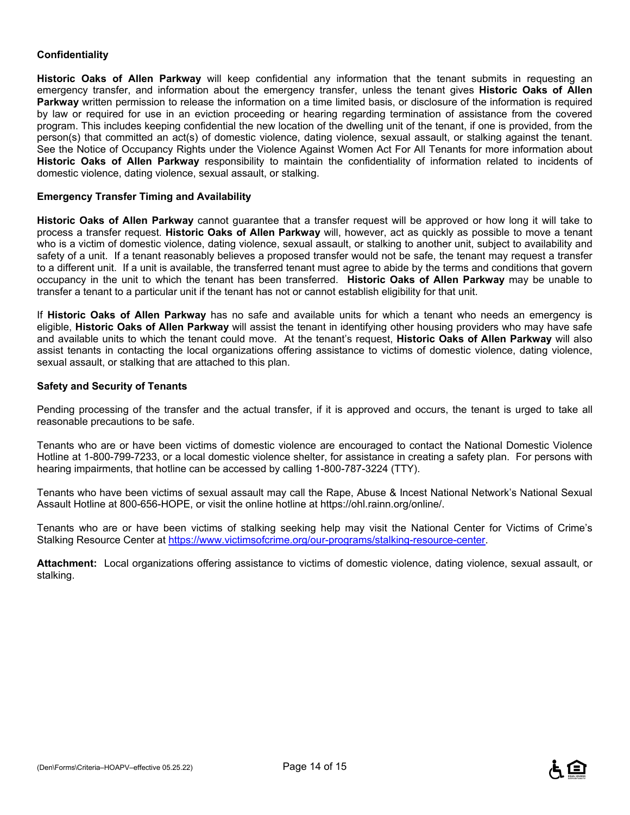#### **Confidentiality**

**Historic Oaks of Allen Parkway** will keep confidential any information that the tenant submits in requesting an emergency transfer, and information about the emergency transfer, unless the tenant gives **Historic Oaks of Allen Parkway** written permission to release the information on a time limited basis, or disclosure of the information is required by law or required for use in an eviction proceeding or hearing regarding termination of assistance from the covered program. This includes keeping confidential the new location of the dwelling unit of the tenant, if one is provided, from the person(s) that committed an act(s) of domestic violence, dating violence, sexual assault, or stalking against the tenant. See the Notice of Occupancy Rights under the Violence Against Women Act For All Tenants for more information about **Historic Oaks of Allen Parkway** responsibility to maintain the confidentiality of information related to incidents of domestic violence, dating violence, sexual assault, or stalking.

#### **Emergency Transfer Timing and Availability**

**Historic Oaks of Allen Parkway** cannot guarantee that a transfer request will be approved or how long it will take to process a transfer request. **Historic Oaks of Allen Parkway** will, however, act as quickly as possible to move a tenant who is a victim of domestic violence, dating violence, sexual assault, or stalking to another unit, subject to availability and safety of a unit. If a tenant reasonably believes a proposed transfer would not be safe, the tenant may request a transfer to a different unit. If a unit is available, the transferred tenant must agree to abide by the terms and conditions that govern occupancy in the unit to which the tenant has been transferred. **Historic Oaks of Allen Parkway** may be unable to transfer a tenant to a particular unit if the tenant has not or cannot establish eligibility for that unit.

If **Historic Oaks of Allen Parkway** has no safe and available units for which a tenant who needs an emergency is eligible, **Historic Oaks of Allen Parkway** will assist the tenant in identifying other housing providers who may have safe and available units to which the tenant could move. At the tenant's request, **Historic Oaks of Allen Parkway** will also assist tenants in contacting the local organizations offering assistance to victims of domestic violence, dating violence, sexual assault, or stalking that are attached to this plan.

#### **Safety and Security of Tenants**

Pending processing of the transfer and the actual transfer, if it is approved and occurs, the tenant is urged to take all reasonable precautions to be safe.

Tenants who are or have been victims of domestic violence are encouraged to contact the National Domestic Violence Hotline at 1-800-799-7233, or a local domestic violence shelter, for assistance in creating a safety plan. For persons with hearing impairments, that hotline can be accessed by calling 1-800-787-3224 (TTY).

Tenants who have been victims of sexual assault may call the Rape, Abuse & Incest National Network's National Sexual Assault Hotline at 800-656-HOPE, or visit the online hotline at https://ohl.rainn.org/online/.

Tenants who are or have been victims of stalking seeking help may visit the National Center for Victims of Crime's Stalking Resource Center at https://www.victimsofcrime.org/our-programs/stalking-resource-center.

**Attachment:** Local organizations offering assistance to victims of domestic violence, dating violence, sexual assault, or stalking.